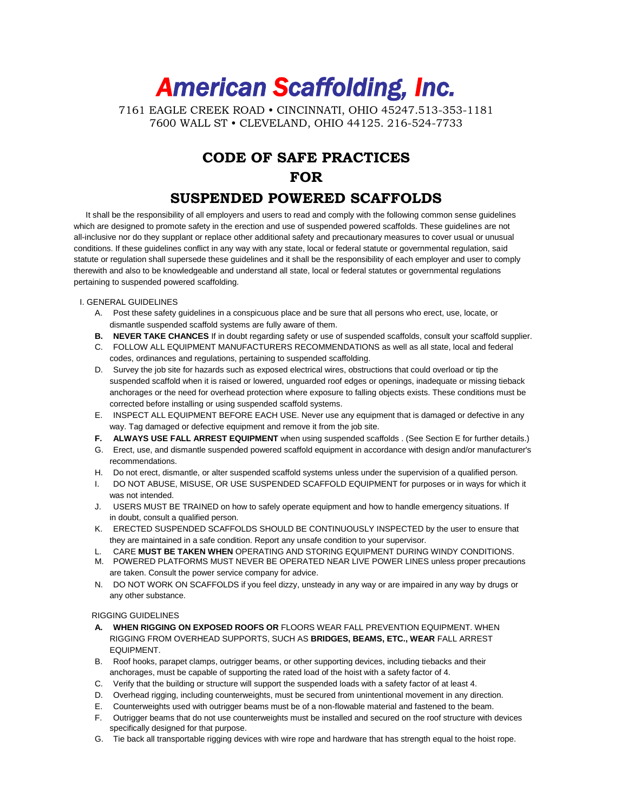# *American Scaffolding, Inc.*

7161 EAGLE CREEK ROAD • CINCINNATI, OHIO 45247.513-353-1181 7600 WALL ST • CLEVELAND, OHIO 44125. 216-524-7733

## **CODE OF SAFE PRACTICES FOR**

### **SUSPENDED POWERED SCAFFOLDS**

It shall be the responsibility of all employers and users to read and comply with the following common sense guidelines which are designed to promote safety in the erection and use of suspended powered scaffolds. These guidelines are not all-inclusive nor do they supplant or replace other additional safety and precautionary measures to cover usual or unusual conditions. If these guidelines conflict in any way with any state, local or federal statute or governmental regulation, said statute or regulation shall supersede these guidelines and it shall be the responsibility of each employer and user to comply therewith and also to be knowledgeable and understand all state, local or federal statutes or governmental regulations pertaining to suspended powered scaffolding.

#### I. GENERAL GUIDELINES

- A. Post these safety guidelines in a conspicuous place and be sure that all persons who erect, use, locate, or dismantle suspended scaffold systems are fully aware of them.
- **B. NEVER TAKE CHANCES** If in doubt regarding safety or use of suspended scaffolds, consult your scaffold supplier.
- C. FOLLOW ALL EQUIPMENT MANUFACTURERS RECOMMENDATIONS as well as all state, local and federal codes, ordinances and regulations, pertaining to suspended scaffolding.
- D. Survey the job site for hazards such as exposed electrical wires, obstructions that could overload or tip the suspended scaffold when it is raised or lowered, unguarded roof edges or openings, inadequate or missing tieback anchorages or the need for overhead protection where exposure to falling objects exists. These conditions must be corrected before installing or using suspended scaffold systems.
- E. INSPECT ALL EQUIPMENT BEFORE EACH USE. Never use any equipment that is damaged or defective in any way. Tag damaged or defective equipment and remove it from the job site.
- **F. ALWAYS USE FALL ARREST EQUIPMENT** when using suspended scaffolds . (See Section E for further details.)
- G. Erect, use, and dismantle suspended powered scaffold equipment in accordance with design and/or manufacturer's recommendations.
- H. Do not erect, dismantle, or alter suspended scaffold systems unless under the supervision of a qualified person.
- I. DO NOT ABUSE, MISUSE, OR USE SUSPENDED SCAFFOLD EQUIPMENT for purposes or in ways for which it was not intended.
- J. USERS MUST BE TRAINED on how to safely operate equipment and how to handle emergency situations. If in doubt, consult a qualified person.
- K. ERECTED SUSPENDED SCAFFOLDS SHOULD BE CONTINUOUSLY INSPECTED by the user to ensure that they are maintained in a safe condition. Report any unsafe condition to your supervisor.
- L. CARE **MUST BE TAKEN WHEN** OPERATING AND STORING EQUIPMENT DURING WINDY CONDITIONS.
- M. POWERED PLATFORMS MUST NEVER BE OPERATED NEAR LIVE POWER LINES unless proper precautions are taken. Consult the power service company for advice.
- N. DO NOT WORK ON SCAFFOLDS if you feel dizzy, unsteady in any way or are impaired in any way by drugs or any other substance.

#### RIGGING GUIDELINES

- **A. WHEN RIGGING ON EXPOSED ROOFS OR** FLOORS WEAR FALL PREVENTION EQUIPMENT. WHEN RIGGING FROM OVERHEAD SUPPORTS, SUCH AS **BRIDGES, BEAMS, ETC., WEAR** FALL ARREST **EQUIPMENT**
- B. Roof hooks, parapet clamps, outrigger beams, or other supporting devices, including tiebacks and their anchorages, must be capable of supporting the rated load of the hoist with a safety factor of 4.
- C. Verify that the building or structure will support the suspended loads with a safety factor of at least 4.
- D. Overhead rigging, including counterweights, must be secured from unintentional movement in any direction.
- E. Counterweights used with outrigger beams must be of a non-flowable material and fastened to the beam.
- F. Outrigger beams that do not use counterweights must be installed and secured on the roof structure with devices specifically designed for that purpose.
- G. Tie back all transportable rigging devices with wire rope and hardware that has strength equal to the hoist rope.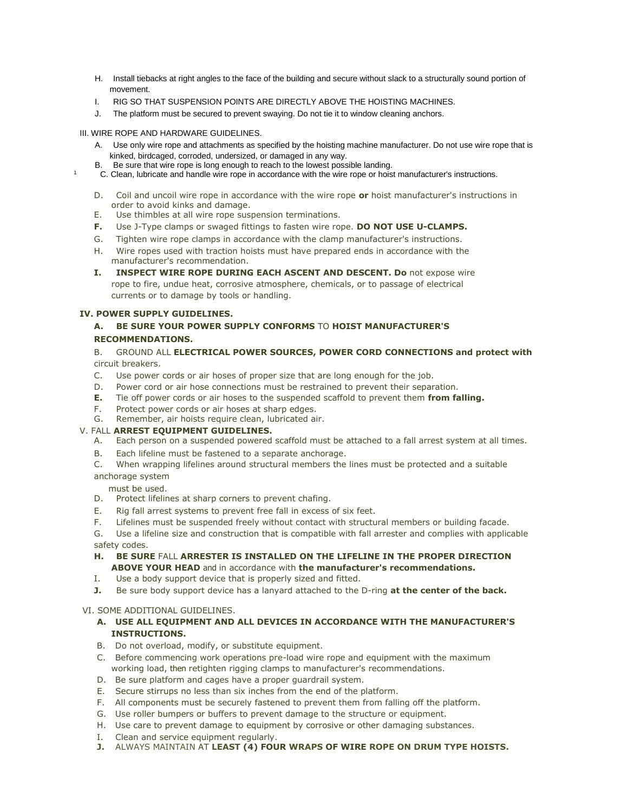- H. Install tiebacks at right angles to the face of the building and secure without slack to a structurally sound portion of movement.
- I. RIG SO THAT SUSPENSION POINTS ARE DIRECTLY ABOVE THE HOISTING MACHINES.
- J. The platform must be secured to prevent swaying. Do not tie it to window cleaning anchors.

III. WIRE ROPE AND HARDWARE GUIDELINES.

- A. Use only wire rope and attachments as specified by the hoisting machine manufacturer. Do not use wire rope that is kinked, birdcaged, corroded, undersized, or damaged in any way.
- B. Be sure that wire rope is long enough to reach to the lowest possible landing.
- <sup>1</sup> C. Clean, lubricate and handle wire rope in accordance with the wire rope or hoist manufacturer's instructions.
- D. Coil and uncoil wire rope in accordance with the wire rope **or** hoist manufacturer's instructions in order to avoid kinks and damage.
- E. Use thimbles at all wire rope suspension terminations.
- **F.** Use J-Type clamps or swaged fittings to fasten wire rope. **DO NOT USE U-CLAMPS.**
- G. Tighten wire rope clamps in accordance with the clamp manufacturer's instructions.
- H. Wire ropes used with traction hoists must have prepared ends in accordance with the manufacturer's recommendation.
- **I. INSPECT WIRE ROPE DURING EACH ASCENT AND DESCENT. Do** not expose wire rope to fire, undue heat, corrosive atmosphere, chemicals, or to passage of electrical currents or to damage by tools or handling.

#### **IV. POWER SUPPLY GUIDELINES.**

#### **A. BE SURE YOUR POWER SUPPLY CONFORMS** TO **HOIST MANUFACTURER'S RECOMMENDATIONS.**

#### B. GROUND ALL **ELECTRICAL POWER SOURCES, POWER CORD CONNECTIONS and protect with**  circuit breakers.

- C. Use power cords or air hoses of proper size that are long enough for the job.
- D. Power cord or air hose connections must be restrained to prevent their separation.
- **E.** Tie off power cords or air hoses to the suspended scaffold to prevent them **from falling.**
- F. Protect power cords or air hoses at sharp edges.
- G. Remember, air hoists require clean, lubricated air.

#### V. FALL **ARREST EQUIPMENT GUIDELINES.**

- A. Each person on a suspended powered scaffold must be attached to a fall arrest system at all times.
- B. Each lifeline must be fastened to a separate anchorage.
- C. When wrapping lifelines around structural members the lines must be protected and a suitable anchorage system

must be used.

- D. Protect lifelines at sharp corners to prevent chafing.
- E. Rig fall arrest systems to prevent free fall in excess of six feet.
- F. Lifelines must be suspended freely without contact with structural members or building facade.
- G. Use a lifeline size and construction that is compatible with fall arrester and complies with applicable safety codes.
- **H. BE SURE** FALL **ARRESTER IS INSTALLED ON THE LIFELINE IN THE PROPER DIRECTION ABOVE YOUR HEAD** and in accordance with **the manufacturer's recommendations.**
- I. Use a body support device that is properly sized and fitted.
- **J.** Be sure body support device has a lanyard attached to the D-ring **at the center of the back.**

VI. SOME ADDITIONAL GUIDELINES.

#### **A. USE ALL EQUIPMENT AND ALL DEVICES IN ACCORDANCE WITH THE MANUFACTURER'S INSTRUCTIONS.**

- B. Do not overload, modify, or substitute equipment.
- C. Before commencing work operations pre-load wire rope and equipment with the maximum working load, then retighten rigging clamps to manufacturer's recommendations.
- D. Be sure platform and cages have a proper guardrail system.
- E. Secure stirrups no less than six inches from the end of the platform.
- F. All components must be securely fastened to prevent them from falling off the platform.
- G. Use roller bumpers or buffers to prevent damage to the structure or equipment.
- H. Use care to prevent damage to equipment by corrosive or other damaging substances.
- I. Clean and service equipment regularly.
- **J.** ALWAYS MAINTAIN AT **LEAST (4) FOUR WRAPS OF WIRE ROPE ON DRUM TYPE HOISTS.**